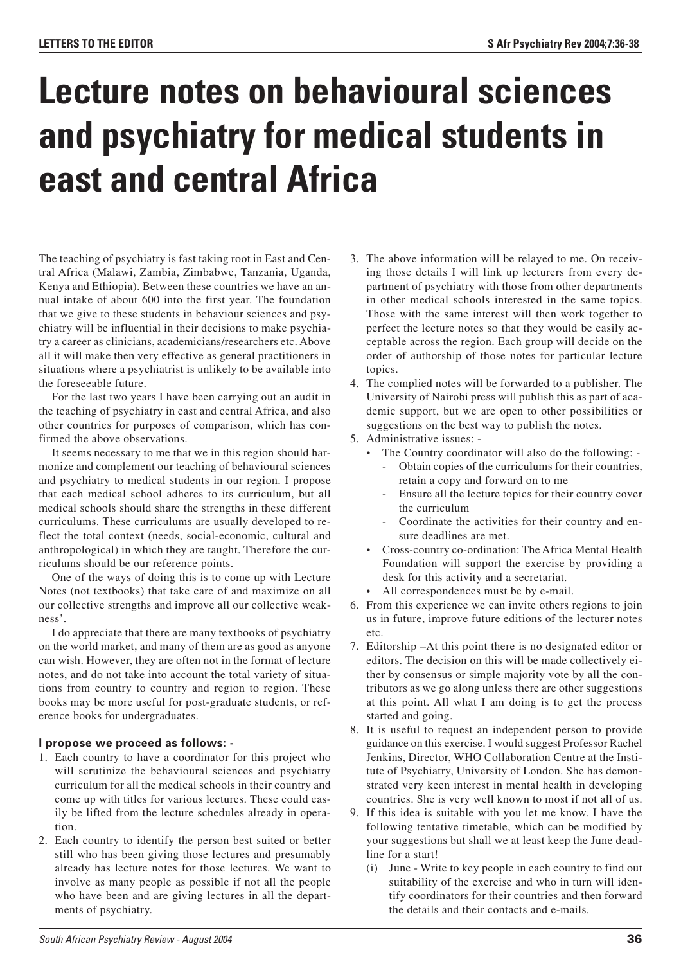## **Lecture notes on behavioural sciences and psychiatry for medical students in east and central Africa**

The teaching of psychiatry is fast taking root in East and Central Africa (Malawi, Zambia, Zimbabwe, Tanzania, Uganda, Kenya and Ethiopia). Between these countries we have an annual intake of about 600 into the first year. The foundation that we give to these students in behaviour sciences and psychiatry will be influential in their decisions to make psychiatry a career as clinicians, academicians/researchers etc. Above all it will make then very effective as general practitioners in situations where a psychiatrist is unlikely to be available into the foreseeable future.

For the last two years I have been carrying out an audit in the teaching of psychiatry in east and central Africa, and also other countries for purposes of comparison, which has confirmed the above observations.

It seems necessary to me that we in this region should harmonize and complement our teaching of behavioural sciences and psychiatry to medical students in our region. I propose that each medical school adheres to its curriculum, but all medical schools should share the strengths in these different curriculums. These curriculums are usually developed to reflect the total context (needs, social-economic, cultural and anthropological) in which they are taught. Therefore the curriculums should be our reference points.

One of the ways of doing this is to come up with Lecture Notes (not textbooks) that take care of and maximize on all our collective strengths and improve all our collective weakness'.

I do appreciate that there are many textbooks of psychiatry on the world market, and many of them are as good as anyone can wish. However, they are often not in the format of lecture notes, and do not take into account the total variety of situations from country to country and region to region. These books may be more useful for post-graduate students, or reference books for undergraduates.

## **I propose we proceed as follows: -**

- 1. Each country to have a coordinator for this project who will scrutinize the behavioural sciences and psychiatry curriculum for all the medical schools in their country and come up with titles for various lectures. These could easily be lifted from the lecture schedules already in operation.
- 2. Each country to identify the person best suited or better still who has been giving those lectures and presumably already has lecture notes for those lectures. We want to involve as many people as possible if not all the people who have been and are giving lectures in all the departments of psychiatry.
- 3. The above information will be relayed to me. On receiving those details I will link up lecturers from every department of psychiatry with those from other departments in other medical schools interested in the same topics. Those with the same interest will then work together to perfect the lecture notes so that they would be easily acceptable across the region. Each group will decide on the order of authorship of those notes for particular lecture topics.
- 4. The complied notes will be forwarded to a publisher. The University of Nairobi press will publish this as part of academic support, but we are open to other possibilities or suggestions on the best way to publish the notes.
- 5. Administrative issues:
	- The Country coordinator will also do the following:
		- Obtain copies of the curriculums for their countries, retain a copy and forward on to me
		- Ensure all the lecture topics for their country cover the curriculum
		- Coordinate the activities for their country and ensure deadlines are met.
	- Cross-country co-ordination: The Africa Mental Health Foundation will support the exercise by providing a desk for this activity and a secretariat.
	- All correspondences must be by e-mail.
- 6. From this experience we can invite others regions to join us in future, improve future editions of the lecturer notes etc.
- 7. Editorship –At this point there is no designated editor or editors. The decision on this will be made collectively either by consensus or simple majority vote by all the contributors as we go along unless there are other suggestions at this point. All what I am doing is to get the process started and going.
- 8. It is useful to request an independent person to provide guidance on this exercise. I would suggest Professor Rachel Jenkins, Director, WHO Collaboration Centre at the Institute of Psychiatry, University of London. She has demonstrated very keen interest in mental health in developing countries. She is very well known to most if not all of us.
- 9. If this idea is suitable with you let me know. I have the following tentative timetable, which can be modified by your suggestions but shall we at least keep the June deadline for a start!
	- (i) June Write to key people in each country to find out suitability of the exercise and who in turn will identify coordinators for their countries and then forward the details and their contacts and e-mails.